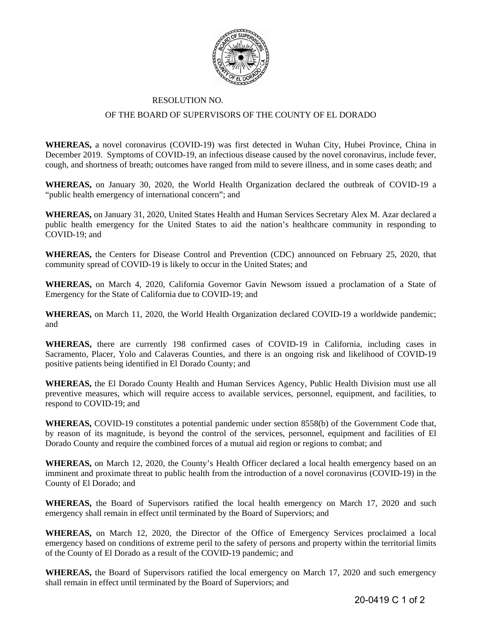

## RESOLUTION NO.

## OF THE BOARD OF SUPERVISORS OF THE COUNTY OF EL DORADO

**WHEREAS,** a novel coronavirus (COVID-19) was first detected in Wuhan City, Hubei Province, China in December 2019. Symptoms of COVID-19, an infectious disease caused by the novel coronavirus, include fever, cough, and shortness of breath; outcomes have ranged from mild to severe illness, and in some cases death; and

**WHEREAS,** on January 30, 2020, the World Health Organization declared the outbreak of COVID-19 a "public health emergency of international concern"; and

**WHEREAS,** on January 31, 2020, United States Health and Human Services Secretary Alex M. Azar declared a public health emergency for the United States to aid the nation's healthcare community in responding to COVID-19; and

**WHEREAS,** the Centers for Disease Control and Prevention (CDC) announced on February 25, 2020, that community spread of COVID-19 is likely to occur in the United States; and

**WHEREAS,** on March 4, 2020, California Governor Gavin Newsom issued a proclamation of a State of Emergency for the State of California due to COVID-19; and

**WHEREAS,** on March 11, 2020, the World Health Organization declared COVID-19 a worldwide pandemic; and

**WHEREAS,** there are currently 198 confirmed cases of COVID-19 in California, including cases in Sacramento, Placer, Yolo and Calaveras Counties, and there is an ongoing risk and likelihood of COVID-19 positive patients being identified in El Dorado County; and

**WHEREAS,** the El Dorado County Health and Human Services Agency, Public Health Division must use all preventive measures, which will require access to available services, personnel, equipment, and facilities, to respond to COVID-19; and

**WHEREAS,** COVID-19 constitutes a potential pandemic under section 8558(b) of the Government Code that, by reason of its magnitude, is beyond the control of the services, personnel, equipment and facilities of El Dorado County and require the combined forces of a mutual aid region or regions to combat; and

WHEREAS, on March 12, 2020, the County's Health Officer declared a local health emergency based on an imminent and proximate threat to public health from the introduction of a novel coronavirus (COVID-19) in the County of El Dorado; and

**WHEREAS,** the Board of Supervisors ratified the local health emergency on March 17, 2020 and such emergency shall remain in effect until terminated by the Board of Superviors; and

**WHEREAS,** on March 12, 2020, the Director of the Office of Emergency Services proclaimed a local emergency based on conditions of extreme peril to the safety of persons and property within the territorial limits of the County of El Dorado as a result of the COVID-19 pandemic; and

**WHEREAS,** the Board of Supervisors ratified the local emergency on March 17, 2020 and such emergency shall remain in effect until terminated by the Board of Superviors; and